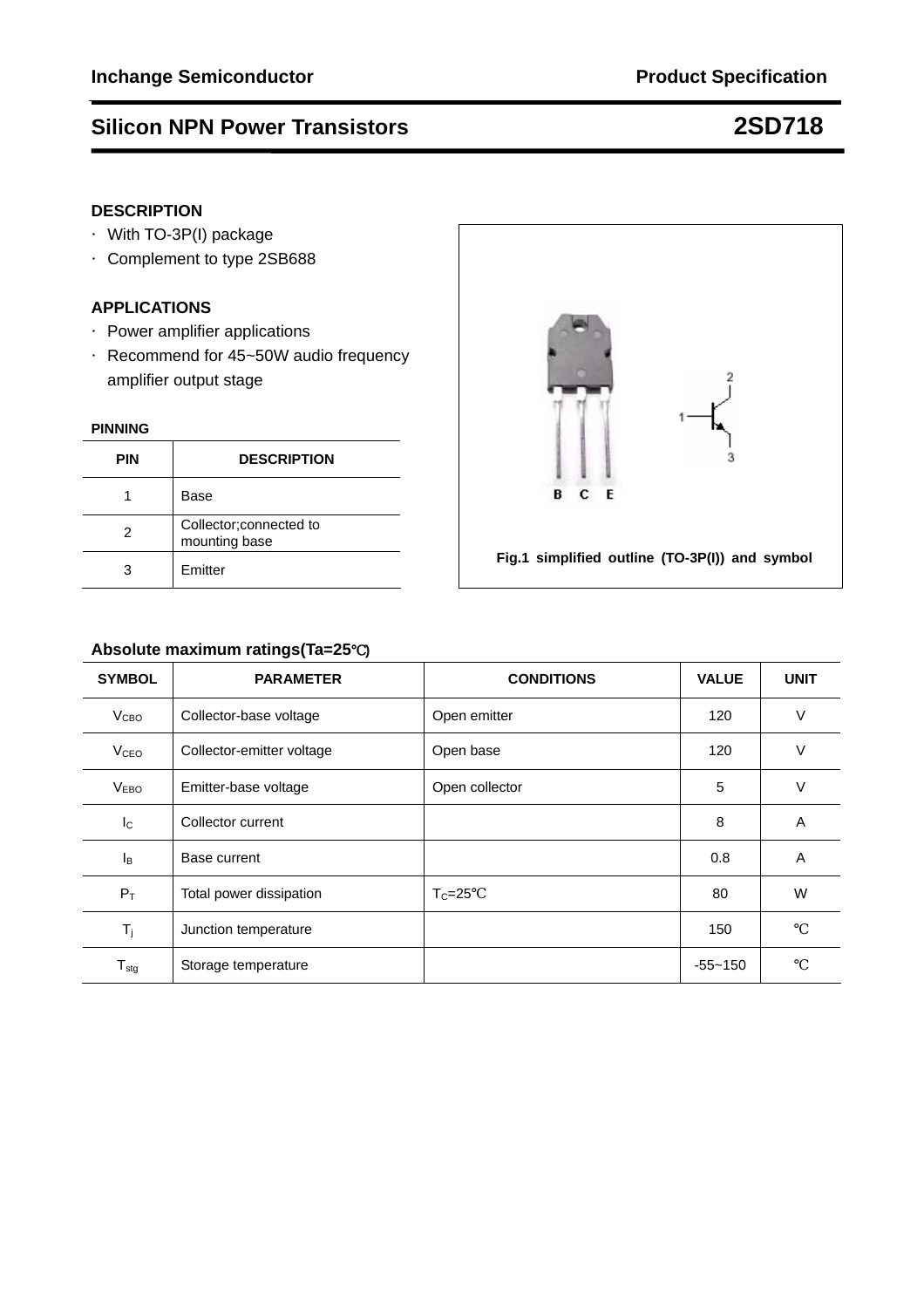### **DESCRIPTION**

- ·With TO-3P(I) package
- ·Complement to type 2SB688

### **APPLICATIONS**

- ·Power amplifier applications
- ·Recommend for 45~50W audio frequency amplifier output stage

#### **PINNING**

| <b>PIN</b> | <b>DESCRIPTION</b>                       |
|------------|------------------------------------------|
|            | Base                                     |
|            | Collector; connected to<br>mounting base |
|            | Emitter                                  |



#### **Absolute maximum ratings(Ta=25**℃**)**

| <b>SYMBOL</b>          | <b>PARAMETER</b>          | <b>CONDITIONS</b> | <b>VALUE</b> | <b>UNIT</b> |
|------------------------|---------------------------|-------------------|--------------|-------------|
| V <sub>CBO</sub>       | Collector-base voltage    | Open emitter      | 120          | $\vee$      |
| <b>V<sub>CEO</sub></b> | Collector-emitter voltage | Open base         | 120          | $\vee$      |
| <b>VEBO</b>            | Emitter-base voltage      | Open collector    | 5            | $\vee$      |
| $I_{\rm C}$            | Collector current         |                   | 8            | A           |
| l <sub>B</sub>         | Base current              |                   | 0.8          | A           |
| $P_T$                  | Total power dissipation   | $T_c = 25$        | 80           | W           |
| $T_j$                  | Junction temperature      |                   | 150          |             |
| $T_{\text{stg}}$       | Storage temperature       |                   | $-55 - 150$  |             |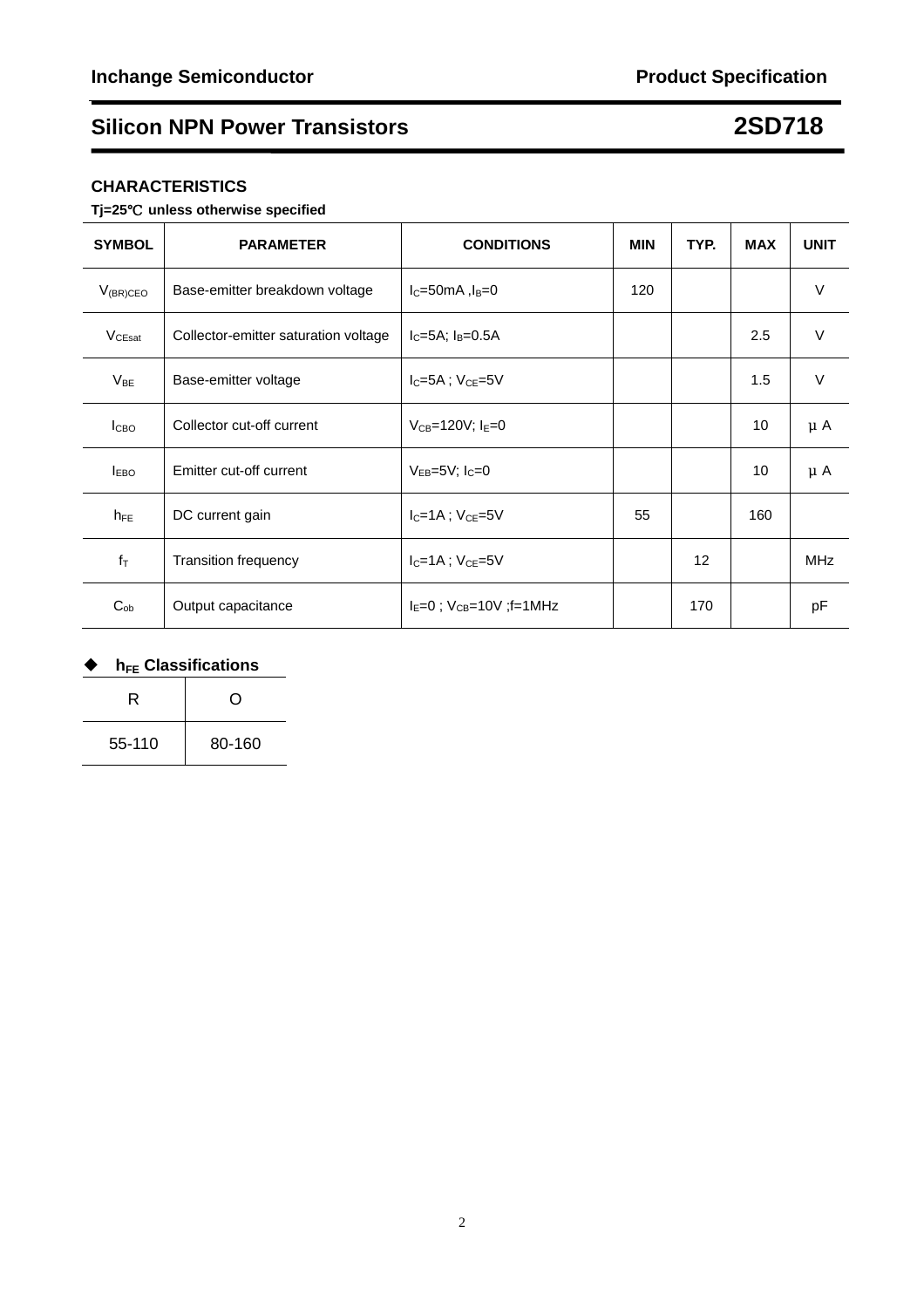### **CHARACTERISTICS**

#### **Tj=25**℃ **unless otherwise specified**

| <b>SYMBOL</b>    | <b>PARAMETER</b>                     | <b>CONDITIONS</b>                   | <b>MIN</b> | TYP.              | <b>MAX</b> | <b>UNIT</b> |
|------------------|--------------------------------------|-------------------------------------|------------|-------------------|------------|-------------|
| $V_{(BR)CEO}$    | Base-emitter breakdown voltage       | $lC=50mA, lB=0$                     | 120        |                   |            | $\vee$      |
| $V_{CEsat}$      | Collector-emitter saturation voltage | $I_C = 5A$ ; $I_B = 0.5A$           |            |                   | 2.5        | V           |
| $V_{BE}$         | Base-emitter voltage                 | $I_C = 5A$ ; $V_{CE} = 5V$          |            |                   | 1.5        | V           |
| I <sub>CBO</sub> | Collector cut-off current            | $V_{CB} = 120V$ ; $I_E = 0$         |            |                   | 10         | $\mu$ A     |
| $I_{EBO}$        | Emitter cut-off current              | $V_{EB} = 5V$ ; $I_C = 0$           |            |                   | 10         | $\mu$ A     |
| $h_{FE}$         | DC current gain                      | $I_C = 1A$ ; $V_{CE} = 5V$          | 55         |                   | 160        |             |
| $f_T$            | <b>Transition frequency</b>          | $I_C = 1A$ ; $V_{CE} = 5V$          |            | $12 \overline{ }$ |            | MHz         |
| $C_{ob}$         | Output capacitance                   | $I_F = 0$ ; $V_{CB} = 10V$ ; f=1MHz |            | 170               |            | pF          |

### ◆ h<sub>FE</sub> Classifications

| R      | ∩      |  |
|--------|--------|--|
| 55-110 | 80-160 |  |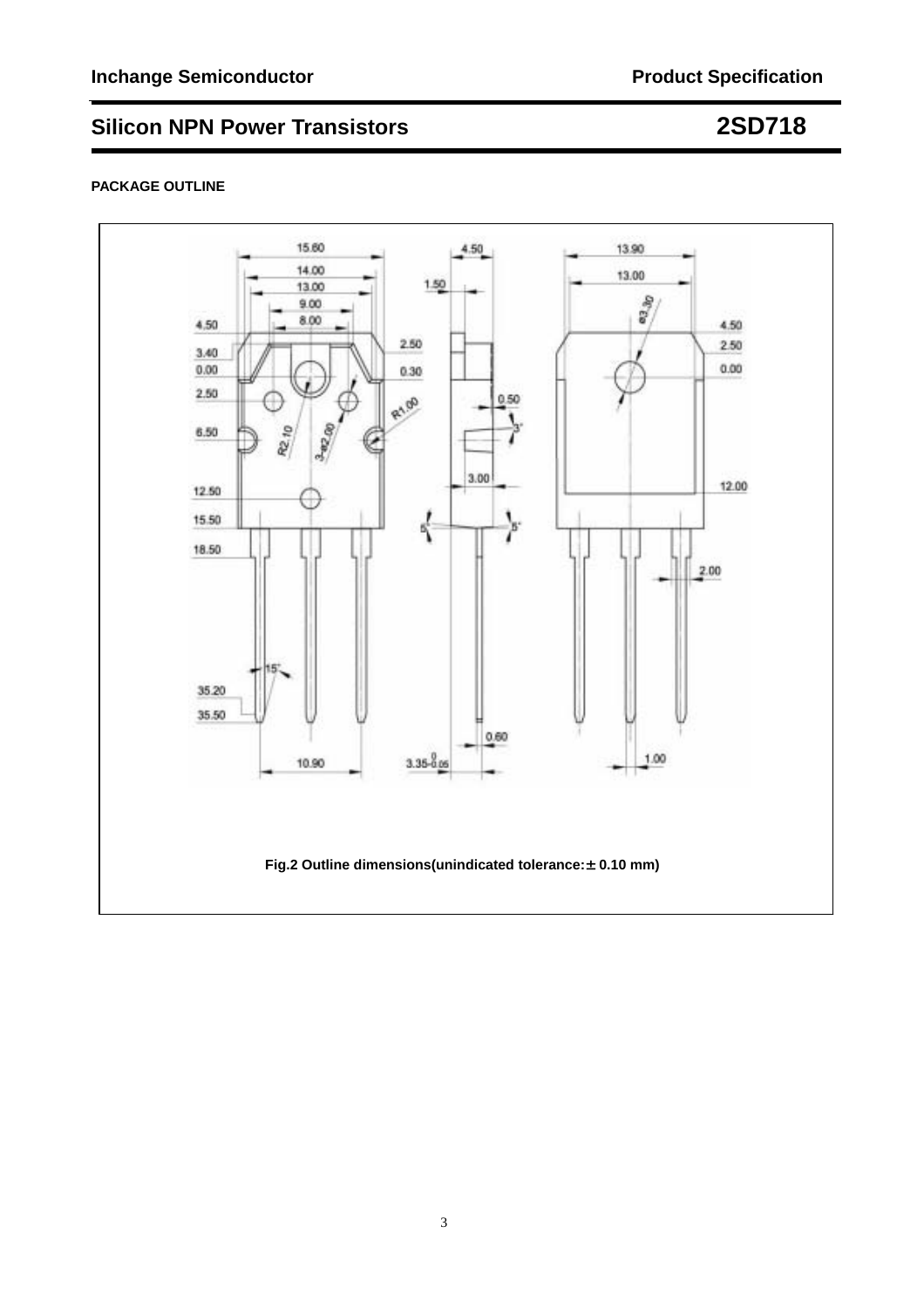#### **PACKAGE OUTLINE**